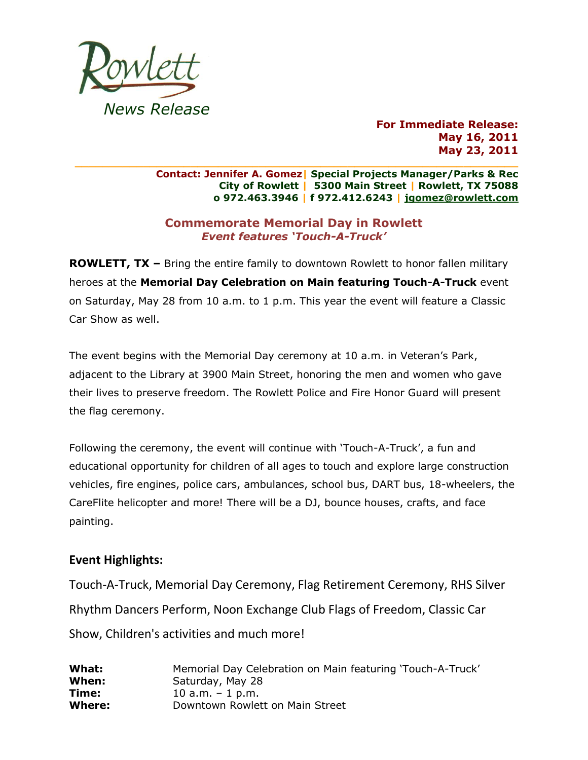

**For Immediate Release: May 16, 2011 May 23, 2011**

**\_\_\_\_\_\_\_\_\_\_\_\_\_\_\_\_\_\_\_\_\_\_\_\_\_\_\_\_\_\_\_\_\_\_\_\_\_\_\_\_\_\_\_\_\_\_\_\_\_\_\_\_\_\_\_\_\_\_\_\_\_\_\_\_\_ Contact: Jennifer A. Gomez| Special Projects Manager/Parks & Rec City of Rowlett | 5300 Main Street | Rowlett, TX 75088 o 972.463.3946 | f 972.412.6243 | [jgomez@rowlett.com](mailto:jgomez@rowlett.com)**

## **Commemorate Memorial Day in Rowlett** *Event features 'Touch-A-Truck'*

**ROWLETT, TX –** Bring the entire family to downtown Rowlett to honor fallen military heroes at the **Memorial Day Celebration on Main featuring Touch-A-Truck** event on Saturday, May 28 from 10 a.m. to 1 p.m. This year the event will feature a Classic Car Show as well.

The event begins with the Memorial Day ceremony at 10 a.m. in Veteran's Park, adjacent to the Library at 3900 Main Street, honoring the men and women who gave their lives to preserve freedom. The Rowlett Police and Fire Honor Guard will present the flag ceremony.

Following the ceremony, the event will continue with 'Touch-A-Truck', a fun and educational opportunity for children of all ages to touch and explore large construction vehicles, fire engines, police cars, ambulances, school bus, DART bus, 18-wheelers, the CareFlite helicopter and more! There will be a DJ, bounce houses, crafts, and face painting.

## **Event Highlights:**

Touch-A-Truck, Memorial Day Ceremony, Flag Retirement Ceremony, RHS Silver Rhythm Dancers Perform, Noon Exchange Club Flags of Freedom, Classic Car Show, Children's activities and much more!

| What:  | Memorial Day Celebration on Main featuring 'Touch-A-Truck' |
|--------|------------------------------------------------------------|
| When:  | Saturday, May 28                                           |
| Time:  | 10 a.m. $-$ 1 p.m.                                         |
| Where: | Downtown Rowlett on Main Street                            |